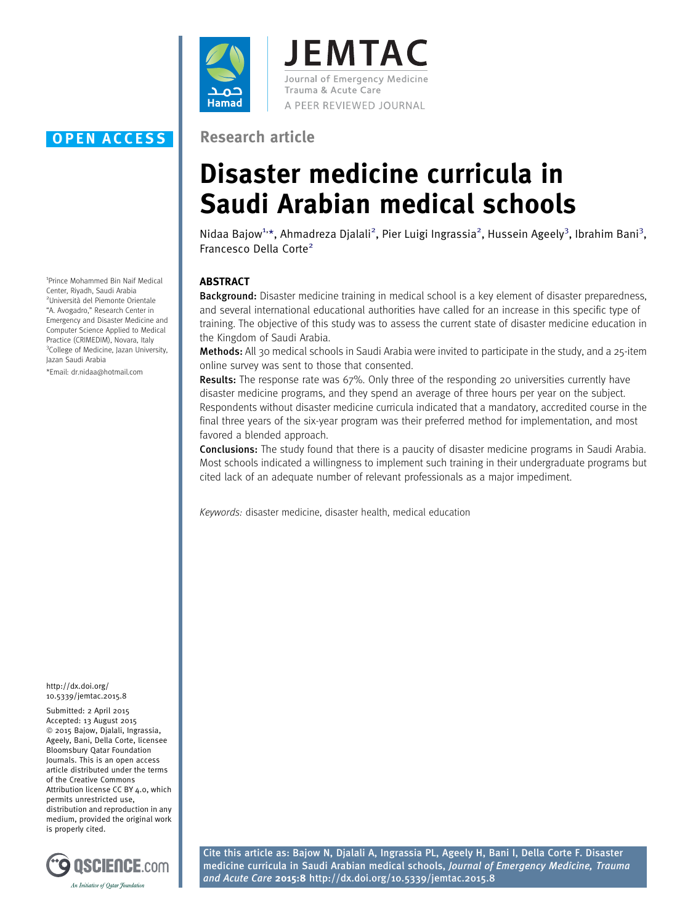



1 Prince Mohammed Bin Naif Medical Center, Riyadh, Saudi Arabia <sup>2</sup>Università del Piemonte Orientale "A. Avogadro," Research Center in Emergency and Disaster Medicine and Computer Science Applied to Medical Practice (CRIMEDIM), Novara, Italy <sup>3</sup>College of Medicine, Jazan University, Jazan Saudi Arabia

\*Email: dr.nidaa@hotmail.com

http://dx.doi.org/ 10.5339/jemtac.2015.8

Submitted: 2 April 2015 Accepted: 13 August 2015 ª 2015 Bajow, Djalali, Ingrassia, Ageely, Bani, Della Corte, licensee Bloomsbury Qatar Foundation Journals. This is an open access article distributed under the terms of the Creative Commons Attribution license CC BY 4.0, which permits unrestricted use, distribution and reproduction in any medium, provided the original work is properly cited.



# **OPEN ACCESS** Research article

# Disaster medicine curricula in Saudi Arabian medical schools

Nidaa Bajow<sup>1,\*</sup>, Ahmadreza Djalali<sup>2</sup>, Pier Luigi Ingrassia<sup>2</sup>, Hussein Ageely<sup>3</sup>, Ibrahim Bani<sup>3</sup>, Francesco Della Corte<sup>2</sup>

# ABSTRACT

**Background:** Disaster medicine training in medical school is a key element of disaster preparedness, and several international educational authorities have called for an increase in this specific type of training. The objective of this study was to assess the current state of disaster medicine education in the Kingdom of Saudi Arabia.

Methods: All 30 medical schools in Saudi Arabia were invited to participate in the study, and a 25-item online survey was sent to those that consented.

Results: The response rate was 67%. Only three of the responding 20 universities currently have disaster medicine programs, and they spend an average of three hours per year on the subject. Respondents without disaster medicine curricula indicated that a mandatory, accredited course in the final three years of the six-year program was their preferred method for implementation, and most favored a blended approach.

**Conclusions:** The study found that there is a paucity of disaster medicine programs in Saudi Arabia. Most schools indicated a willingness to implement such training in their undergraduate programs but cited lack of an adequate number of relevant professionals as a major impediment.

Keywords: disaster medicine, disaster health, medical education

Cite this article as: Bajow N, Djalali A, Ingrassia PL, Ageely H, Bani I, Della Corte F. Disaster medicine curricula in Saudi Arabian medical schools, Journal of Emergency Medicine, Trauma and Acute Care 2015:8 http://dx.doi.org/10.5339/jemtac.2015.8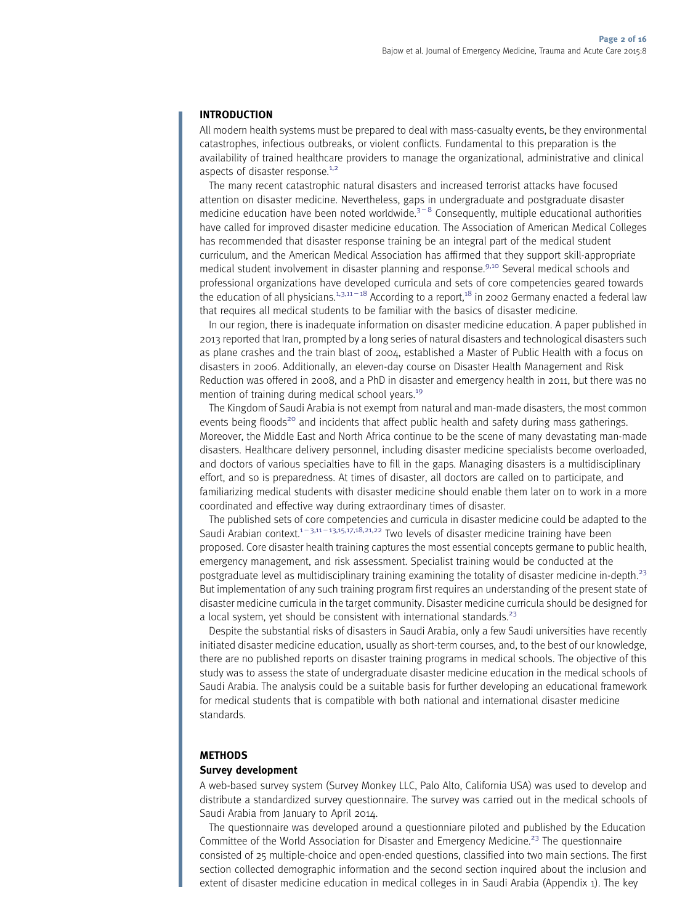# INTRODUCTION

All modern health systems must be prepared to deal with mass-casualty events, be they environmental catastrophes, infectious outbreaks, or violent conflicts. Fundamental to this preparation is the availability of trained healthcare providers to manage the organizational, administrative and clinical aspects of disaster response.<sup>1,2</sup>

The many recent catastrophic natural disasters and increased terrorist attacks have focused attention on disaster medicine. Nevertheless, gaps in undergraduate and postgraduate disaster medicine education have been noted worldwide.<sup>3–8</sup> Consequently, multiple educational authorities have called for improved disaster medicine education. The Association of American Medical Colleges has recommended that disaster response training be an integral part of the medical student curriculum, and the American Medical Association has affirmed that they support skill-appropriate medical student involvement in disaster planning and response.<sup>9,10</sup> Several medical schools and professional organizations have developed curricula and sets of core competencies geared towards the education of all physicians.<sup>1,3,11-18</sup> According to a report,<sup>18</sup> in 2002 Germany enacted a federal law that requires all medical students to be familiar with the basics of disaster medicine.

In our region, there is inadequate information on disaster medicine education. A paper published in 2013 reported that Iran, prompted by a long series of natural disasters and technological disasters such as plane crashes and the train blast of 2004, established a Master of Public Health with a focus on disasters in 2006. Additionally, an eleven-day course on Disaster Health Management and Risk Reduction was offered in 2008, and a PhD in disaster and emergency health in 2011, but there was no mention of training during medical school years.<sup>19</sup>

The Kingdom of Saudi Arabia is not exempt from natural and man-made disasters, the most common events being floods<sup>20</sup> and incidents that affect public health and safety during mass gatherings. Moreover, the Middle East and North Africa continue to be the scene of many devastating man-made disasters. Healthcare delivery personnel, including disaster medicine specialists become overloaded, and doctors of various specialties have to fill in the gaps. Managing disasters is a multidisciplinary effort, and so is preparedness. At times of disaster, all doctors are called on to participate, and familiarizing medical students with disaster medicine should enable them later on to work in a more coordinated and effective way during extraordinary times of disaster.

The published sets of core competencies and curricula in disaster medicine could be adapted to the Saudi Arabian context.<sup>1-3,11-13,15,17,18,21,22</sup> Two levels of disaster medicine training have been proposed. Core disaster health training captures the most essential concepts germane to public health, emergency management, and risk assessment. Specialist training would be conducted at the postgraduate level as multidisciplinary training examining the totality of disaster medicine in-depth.<sup>23</sup> But implementation of any such training program first requires an understanding of the present state of disaster medicine curricula in the target community. Disaster medicine curricula should be designed for a local system, yet should be consistent with international standards.<sup>23</sup>

Despite the substantial risks of disasters in Saudi Arabia, only a few Saudi universities have recently initiated disaster medicine education, usually as short-term courses, and, to the best of our knowledge, there are no published reports on disaster training programs in medical schools. The objective of this study was to assess the state of undergraduate disaster medicine education in the medical schools of Saudi Arabia. The analysis could be a suitable basis for further developing an educational framework for medical students that is compatible with both national and international disaster medicine standards.

#### METHODS

#### Survey development

A web-based survey system (Survey Monkey LLC, Palo Alto, California USA) was used to develop and distribute a standardized survey questionnaire. The survey was carried out in the medical schools of Saudi Arabia from January to April 2014.

The questionnaire was developed around a questionniare piloted and published by the Education Committee of the World Association for Disaster and Emergency Medicine.<sup>23</sup> The questionnaire consisted of 25 multiple-choice and open-ended questions, classified into two main sections. The first section collected demographic information and the second section inquired about the inclusion and extent of disaster medicine education in medical colleges in in Saudi Arabia (Appendix 1). The key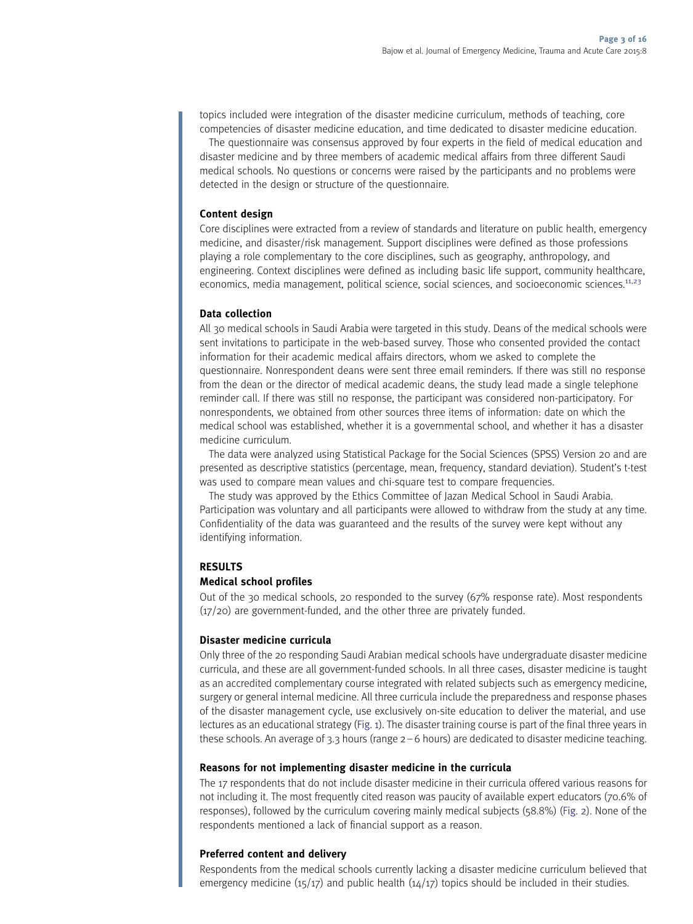topics included were integration of the disaster medicine curriculum, methods of teaching, core competencies of disaster medicine education, and time dedicated to disaster medicine education.

The questionnaire was consensus approved by four experts in the field of medical education and disaster medicine and by three members of academic medical affairs from three different Saudi medical schools. No questions or concerns were raised by the participants and no problems were detected in the design or structure of the questionnaire.

# Content design

Core disciplines were extracted from a review of standards and literature on public health, emergency medicine, and disaster/risk management. Support disciplines were defined as those professions playing a role complementary to the core disciplines, such as geography, anthropology, and engineering. Context disciplines were defined as including basic life support, community healthcare, economics, media management, political science, social sciences, and socioeconomic sciences.<sup>11,23</sup>

### Data collection

All 30 medical schools in Saudi Arabia were targeted in this study. Deans of the medical schools were sent invitations to participate in the web-based survey. Those who consented provided the contact information for their academic medical affairs directors, whom we asked to complete the questionnaire. Nonrespondent deans were sent three email reminders. If there was still no response from the dean or the director of medical academic deans, the study lead made a single telephone reminder call. If there was still no response, the participant was considered non-participatory. For nonrespondents, we obtained from other sources three items of information: date on which the medical school was established, whether it is a governmental school, and whether it has a disaster medicine curriculum.

The data were analyzed using Statistical Package for the Social Sciences (SPSS) Version 20 and are presented as descriptive statistics (percentage, mean, frequency, standard deviation). Student's t-test was used to compare mean values and chi-square test to compare frequencies.

The study was approved by the Ethics Committee of Jazan Medical School in Saudi Arabia. Participation was voluntary and all participants were allowed to withdraw from the study at any time. Confidentiality of the data was guaranteed and the results of the survey were kept without any identifying information.

#### RESULTS

# Medical school profiles

Out of the 30 medical schools, 20 responded to the survey (67% response rate). Most respondents (17/20) are government-funded, and the other three are privately funded.

#### Disaster medicine curricula

Only three of the 20 responding Saudi Arabian medical schools have undergraduate disaster medicine curricula, and these are all government-funded schools. In all three cases, disaster medicine is taught as an accredited complementary course integrated with related subjects such as emergency medicine, surgery or general internal medicine. All three curricula include the preparedness and response phases of the disaster management cycle, use exclusively on-site education to deliver the material, and use lectures as an educational strategy (Fig. 1). The disaster training course is part of the final three years in these schools. An average of 3.3 hours (range 2–6 hours) are dedicated to disaster medicine teaching.

# Reasons for not implementing disaster medicine in the curricula

The 17 respondents that do not include disaster medicine in their curricula offered various reasons for not including it. The most frequently cited reason was paucity of available expert educators (70.6% of responses), followed by the curriculum covering mainly medical subjects (58.8%) (Fig. 2). None of the respondents mentioned a lack of financial support as a reason.

#### Preferred content and delivery

Respondents from the medical schools currently lacking a disaster medicine curriculum believed that emergency medicine  $(15/17)$  and public health  $(14/17)$  topics should be included in their studies.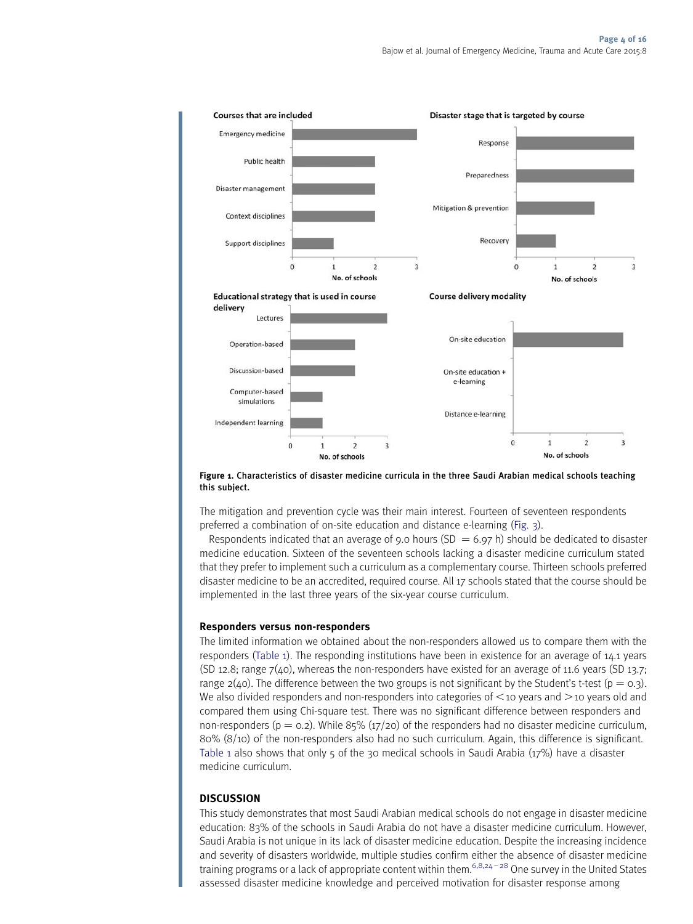

Figure 1. Characteristics of disaster medicine curricula in the three Saudi Arabian medical schools teaching this subject.

The mitigation and prevention cycle was their main interest. Fourteen of seventeen respondents preferred a combination of on-site education and distance e-learning (Fig. 3).

Respondents indicated that an average of 9.0 hours (SD  $= 6.97$  h) should be dedicated to disaster medicine education. Sixteen of the seventeen schools lacking a disaster medicine curriculum stated that they prefer to implement such a curriculum as a complementary course. Thirteen schools preferred disaster medicine to be an accredited, required course. All 17 schools stated that the course should be implemented in the last three years of the six-year course curriculum.

#### Responders versus non-responders

The limited information we obtained about the non-responders allowed us to compare them with the responders (Table 1). The responding institutions have been in existence for an average of 14.1 years (SD 12.8; range 7(40), whereas the non-responders have existed for an average of 11.6 years (SD 13.7; range  $2(40)$ . The difference between the two groups is not significant by the Student's t-test ( $p = 0.3$ ). We also divided responders and non-responders into categories of  $\leq$  10 years and  $\geq$  10 years old and compared them using Chi-square test. There was no significant difference between responders and non-responders ( $p = 0.2$ ). While 85% (17/20) of the responders had no disaster medicine curriculum, 80% (8/10) of the non-responders also had no such curriculum. Again, this difference is significant. Table 1 also shows that only 5 of the 30 medical schools in Saudi Arabia ( $17\%$ ) have a disaster medicine curriculum.

# **DISCUSSION**

This study demonstrates that most Saudi Arabian medical schools do not engage in disaster medicine education: 83% of the schools in Saudi Arabia do not have a disaster medicine curriculum. However, Saudi Arabia is not unique in its lack of disaster medicine education. Despite the increasing incidence and severity of disasters worldwide, multiple studies confirm either the absence of disaster medicine training programs or a lack of appropriate content within them.<sup>6,8,24-28</sup> One survey in the United States assessed disaster medicine knowledge and perceived motivation for disaster response among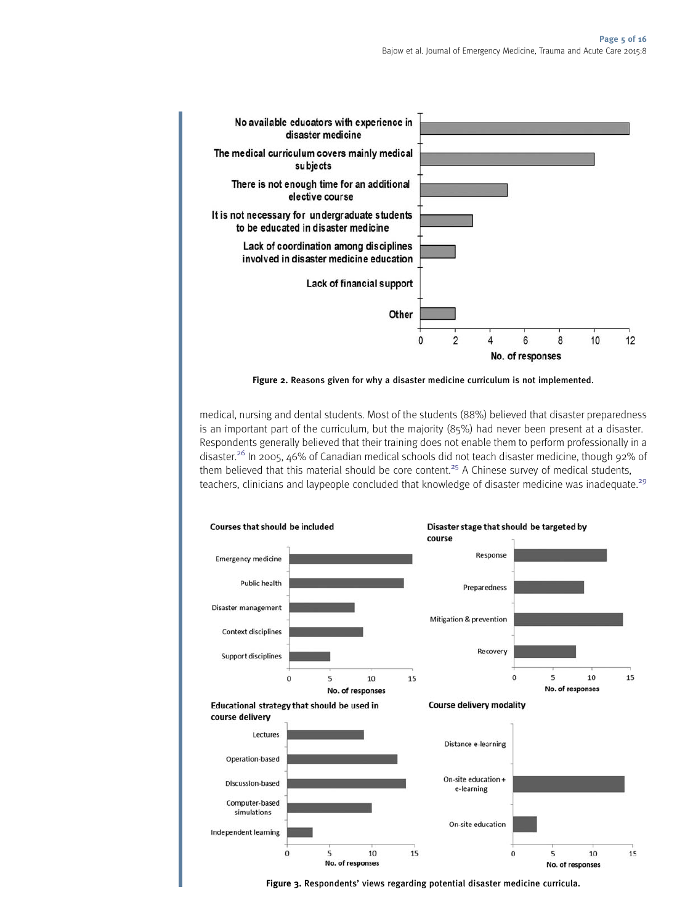

Figure 2. Reasons given for why a disaster medicine curriculum is not implemented.

medical, nursing and dental students. Most of the students (88%) believed that disaster preparedness is an important part of the curriculum, but the majority (85%) had never been present at a disaster. Respondents generally believed that their training does not enable them to perform professionally in a disaster.<sup>26</sup> In 2005, 46% of Canadian medical schools did not teach disaster medicine, though 92% of them believed that this material should be core content.<sup>25</sup> A Chinese survey of medical students, teachers, clinicians and laypeople concluded that knowledge of disaster medicine was inadequate.<sup>29</sup>



Figure 3. Respondents' views regarding potential disaster medicine curricula.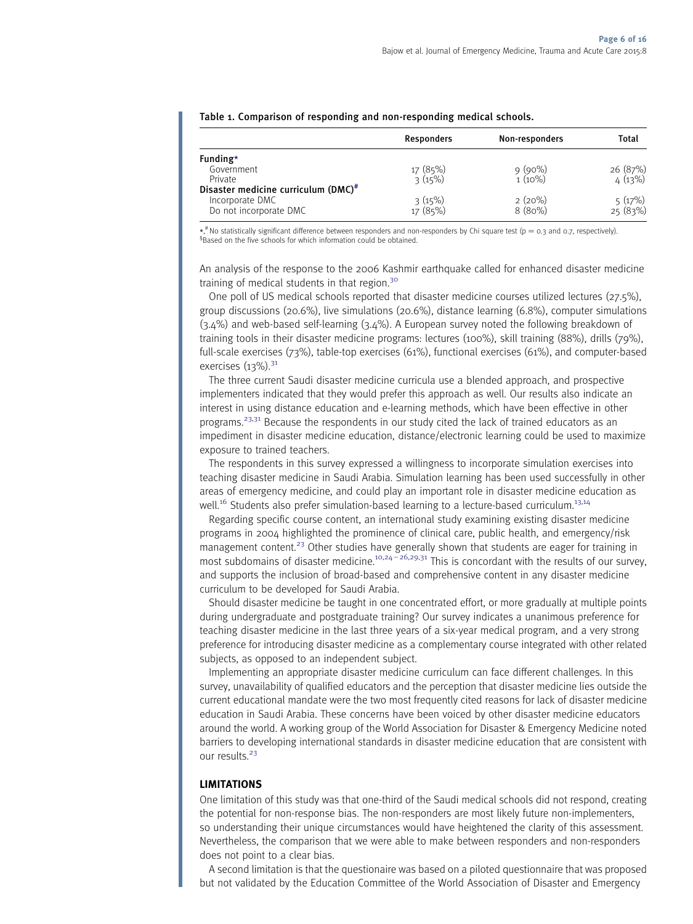|                                           | <b>Responders</b> | Non-responders | Total    |
|-------------------------------------------|-------------------|----------------|----------|
| Funding $\star$                           |                   |                |          |
| Government                                | 17(85%)           | $9(90\%)$      | 26 (87%) |
| Private                                   | 3(15%)            | $1(10\%)$      | 4(13%)   |
| Disaster medicine curriculum $(DMC)^{\#}$ |                   |                |          |
| Incorporate DMC                           | 3(15%)            | 2(20%)         | 5(17%)   |
| Do not incorporate DMC                    | 17(85%)           | $8(80\%)$      | 25(83%)  |

#### Table 1. Comparison of responding and non-responding medical schools.

\*,<sup>#</sup> No statistically significant difference between responders and non-responders by Chi square test (p = 0.3 and 0.7, respectively). § Based on the five schools for which information could be obtained.

An analysis of the response to the 2006 Kashmir earthquake called for enhanced disaster medicine training of medical students in that region.<sup>30</sup>

One poll of US medical schools reported that disaster medicine courses utilized lectures (27.5%), group discussions (20.6%), live simulations (20.6%), distance learning (6.8%), computer simulations (3.4%) and web-based self-learning (3.4%). A European survey noted the following breakdown of training tools in their disaster medicine programs: lectures (100%), skill training (88%), drills (79%), full-scale exercises (73%), table-top exercises (61%), functional exercises (61%), and computer-based exercises  $(13\%)$ .<sup>31</sup>

The three current Saudi disaster medicine curricula use a blended approach, and prospective implementers indicated that they would prefer this approach as well. Our results also indicate an interest in using distance education and e-learning methods, which have been effective in other programs.<sup>23,31</sup> Because the respondents in our study cited the lack of trained educators as an impediment in disaster medicine education, distance/electronic learning could be used to maximize exposure to trained teachers.

The respondents in this survey expressed a willingness to incorporate simulation exercises into teaching disaster medicine in Saudi Arabia. Simulation learning has been used successfully in other areas of emergency medicine, and could play an important role in disaster medicine education as well.<sup>16</sup> Students also prefer simulation-based learning to a lecture-based curriculum.<sup>13,14</sup>

Regarding specific course content, an international study examining existing disaster medicine programs in 2004 highlighted the prominence of clinical care, public health, and emergency/risk management content.<sup>23</sup> Other studies have generally shown that students are eager for training in most subdomains of disaster medicine.<sup>10,24 – 26,29,31</sup> This is concordant with the results of our survey, and supports the inclusion of broad-based and comprehensive content in any disaster medicine curriculum to be developed for Saudi Arabia.

Should disaster medicine be taught in one concentrated effort, or more gradually at multiple points during undergraduate and postgraduate training? Our survey indicates a unanimous preference for teaching disaster medicine in the last three years of a six-year medical program, and a very strong preference for introducing disaster medicine as a complementary course integrated with other related subjects, as opposed to an independent subject.

Implementing an appropriate disaster medicine curriculum can face different challenges. In this survey, unavailability of qualified educators and the perception that disaster medicine lies outside the current educational mandate were the two most frequently cited reasons for lack of disaster medicine education in Saudi Arabia. These concerns have been voiced by other disaster medicine educators around the world. A working group of the World Association for Disaster & Emergency Medicine noted barriers to developing international standards in disaster medicine education that are consistent with our results.<sup>23</sup>

#### LIMITATIONS

One limitation of this study was that one-third of the Saudi medical schools did not respond, creating the potential for non-response bias. The non-responders are most likely future non-implementers, so understanding their unique circumstances would have heightened the clarity of this assessment. Nevertheless, the comparison that we were able to make between responders and non-responders does not point to a clear bias.

A second limitation is that the questionaire was based on a piloted questionnaire that was proposed but not validated by the Education Committee of the World Association of Disaster and Emergency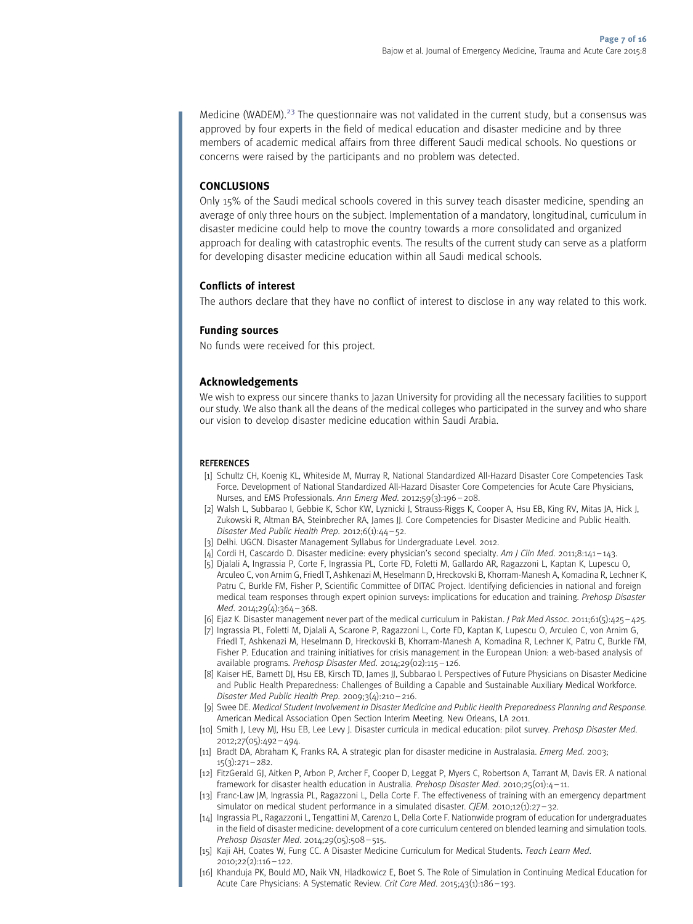Medicine (WADEM).<sup>23</sup> The questionnaire was not validated in the current study, but a consensus was approved by four experts in the field of medical education and disaster medicine and by three members of academic medical affairs from three different Saudi medical schools. No questions or concerns were raised by the participants and no problem was detected.

# **CONCLUSIONS**

Only 15% of the Saudi medical schools covered in this survey teach disaster medicine, spending an average of only three hours on the subject. Implementation of a mandatory, longitudinal, curriculum in disaster medicine could help to move the country towards a more consolidated and organized approach for dealing with catastrophic events. The results of the current study can serve as a platform for developing disaster medicine education within all Saudi medical schools.

# Conflicts of interest

The authors declare that they have no conflict of interest to disclose in any way related to this work.

# Funding sources

No funds were received for this project.

# Acknowledgements

We wish to express our sincere thanks to Jazan University for providing all the necessary facilities to support our study. We also thank all the deans of the medical colleges who participated in the survey and who share our vision to develop disaster medicine education within Saudi Arabia.

# **REFERENCES**

- [1] Schultz CH, Koenig KL, Whiteside M, Murray R, National Standardized All-Hazard Disaster Core Competencies Task Force. Development of National Standardized All-Hazard Disaster Core Competencies for Acute Care Physicians, Nurses, and EMS Professionals. Ann Emerg Med. 2012;59(3):196–208.
- [2] Walsh L, Subbarao I, Gebbie K, Schor KW, Lyznicki J, Strauss-Riggs K, Cooper A, Hsu EB, King RV, Mitas JA, Hick J, Zukowski R, Altman BA, Steinbrecher RA, James JJ. Core Competencies for Disaster Medicine and Public Health. Disaster Med Public Health Prep. 2012;6(1):44–52.
- [3] Delhi. UGCN. Disaster Management Syllabus for Undergraduate Level. 2012.
- [4] Cordi H, Cascardo D. Disaster medicine: every physician's second specialty. Am J Clin Med. 2011;8:141– 143.
- [5] Djalali A, Ingrassia P, Corte F, Ingrassia PL, Corte FD, Foletti M, Gallardo AR, Ragazzoni L, Kaptan K, Lupescu O, Arculeo C, von Arnim G, Friedl T, Ashkenazi M, Heselmann D, Hreckovski B, Khorram-Manesh A, Komadina R, Lechner K, Patru C, Burkle FM, Fisher P, Scientific Committee of DITAC Project. Identifying deficiencies in national and foreign medical team responses through expert opinion surveys: implications for education and training. Prehosp Disaster Med. 2014;29(4):364–368.
- [6] Ejaz K. Disaster management never part of the medical curriculum in Pakistan. J Pak Med Assoc. 2011;61(5):425–425.
- [7] Ingrassia PL, Foletti M, Djalali A, Scarone P, Ragazzoni L, Corte FD, Kaptan K, Lupescu O, Arculeo C, von Arnim G, Friedl T, Ashkenazi M, Heselmann D, Hreckovski B, Khorram-Manesh A, Komadina R, Lechner K, Patru C, Burkle FM, Fisher P. Education and training initiatives for crisis management in the European Union: a web-based analysis of available programs. Prehosp Disaster Med. 2014;29(02):115– 126.
- [8] Kaiser HE, Barnett DJ, Hsu EB, Kirsch TD, James JJ, Subbarao I. Perspectives of Future Physicians on Disaster Medicine and Public Health Preparedness: Challenges of Building a Capable and Sustainable Auxiliary Medical Workforce. Disaster Med Public Health Prep. 2009;3(4):210–216.
- [9] Swee DE. Medical Student Involvement in Disaster Medicine and Public Health Preparedness Planning and Response. American Medical Association Open Section Interim Meeting. New Orleans, LA 2011.
- [10] Smith J, Levy MJ, Hsu EB, Lee Levy J. Disaster curricula in medical education: pilot survey. Prehosp Disaster Med. 2012;27(05):492–494.
- [11] Bradt DA, Abraham K, Franks RA. A strategic plan for disaster medicine in Australasia. Emerg Med. 2003; 15(3):271–282.
- [12] FitzGerald GJ, Aitken P, Arbon P, Archer F, Cooper D, Leggat P, Myers C, Robertson A, Tarrant M, Davis ER. A national framework for disaster health education in Australia. Prehosp Disaster Med. 2010;25(01):4-11.
- [13] Franc-Law JM, Ingrassia PL, Ragazzoni L, Della Corte F. The effectiveness of training with an emergency department simulator on medical student performance in a simulated disaster. CJEM. 2010;12(1):27 - 32.
- [14] Ingrassia PL, Ragazzoni L, Tengattini M, Carenzo L, Della Corte F. Nationwide program of education for undergraduates in the field of disaster medicine: development of a core curriculum centered on blended learning and simulation tools. Prehosp Disaster Med. 2014;29(05):508–515.
- [15] Kaji AH, Coates W, Fung CC. A Disaster Medicine Curriculum for Medical Students. Teach Learn Med. 2010;22(2):116– 122.
- [16] Khanduja PK, Bould MD, Naik VN, Hladkowicz E, Boet S. The Role of Simulation in Continuing Medical Education for Acute Care Physicians: A Systematic Review. Crit Care Med. 2015;43(1):186-193.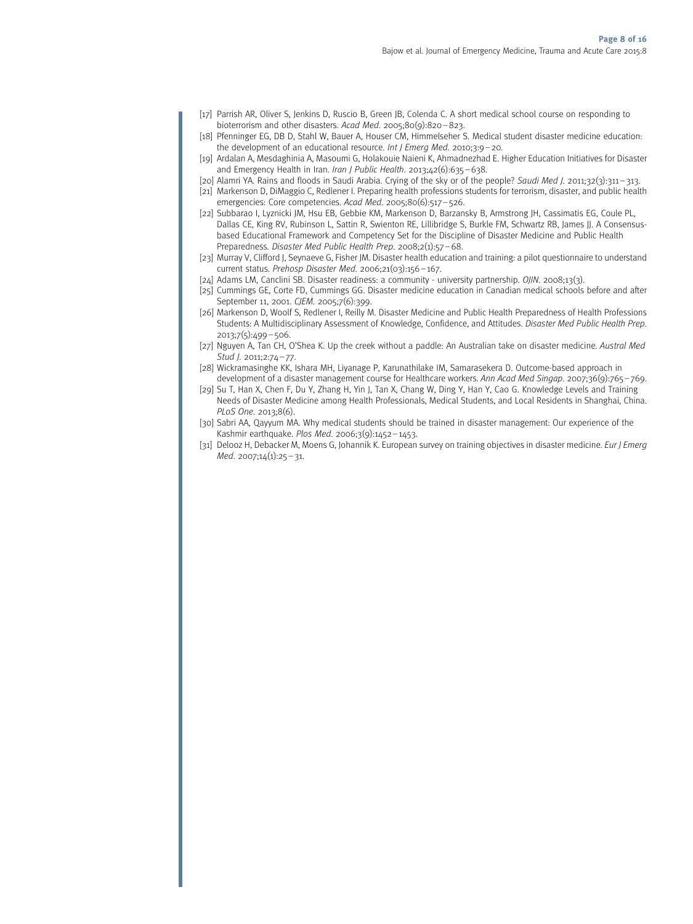- [17] Parrish AR, Oliver S, Jenkins D, Ruscio B, Green JB, Colenda C. A short medical school course on responding to bioterrorism and other disasters. Acad Med. 2005;80(9):820–823.
- [18] Pfenninger EG, DB D, Stahl W, Bauer A, Houser CM, Himmelseher S. Medical student disaster medicine education: the development of an educational resource. Int J Emerg Med. 2010;3:9-20.
- [19] Ardalan A, Mesdaghinia A, Masoumi G, Holakouie Naieni K, Ahmadnezhad E. Higher Education Initiatives for Disaster and Emergency Health in Iran. Iran J Public Health. 2013;42(6):635–638.
- [20] Alamri YA. Rains and floods in Saudi Arabia. Crying of the sky or of the people? Saudi Med J. 2011;32(3):311–313.
- [21] Markenson D, DiMaggio C, Redlener I. Preparing health professions students for terrorism, disaster, and public health emergencies: Core competencies. Acad Med. 2005;80(6):517-526.
- [22] Subbarao I, Lyznicki JM, Hsu EB, Gebbie KM, Markenson D, Barzansky B, Armstrong JH, Cassimatis EG, Coule PL, Dallas CE, King RV, Rubinson L, Sattin R, Swienton RE, Lillibridge S, Burkle FM, Schwartz RB, James JJ. A Consensusbased Educational Framework and Competency Set for the Discipline of Disaster Medicine and Public Health Preparedness. Disaster Med Public Health Prep. 2008;2(1):57–68.
- [23] Murray V, Clifford J, Seynaeve G, Fisher JM. Disaster health education and training: a pilot questionnaire to understand current status. Prehosp Disaster Med. 2006;21(03):156– 167.
- [24] Adams LM, Canclini SB. Disaster readiness: a community university partnership. OJIN. 2008;13(3).
- [25] Cummings GE, Corte FD, Cummings GG. Disaster medicine education in Canadian medical schools before and after September 11, 2001. CJEM. 2005;7(6):399.
- [26] Markenson D, Woolf S, Redlener I, Reilly M. Disaster Medicine and Public Health Preparedness of Health Professions Students: A Multidisciplinary Assessment of Knowledge, Confidence, and Attitudes. Disaster Med Public Health Prep. 2013;7(5):499–506.
- [27] Nguyen A, Tan CH, O'Shea K. Up the creek without a paddle: An Australian take on disaster medicine. Austral Med Stud J. 2011;2:74–77.
- [28] Wickramasinghe KK, Ishara MH, Liyanage P, Karunathilake IM, Samarasekera D. Outcome-based approach in development of a disaster management course for Healthcare workers. Ann Acad Med Singap. 2007;36(9):765–769.
- [29] Su T, Han X, Chen F, Du Y, Zhang H, Yin J, Tan X, Chang W, Ding Y, Han Y, Cao G. Knowledge Levels and Training Needs of Disaster Medicine among Health Professionals, Medical Students, and Local Residents in Shanghai, China. PLoS One. 2013;8(6).
- [30] Sabri AA, Qayyum MA. Why medical students should be trained in disaster management: Our experience of the Kashmir earthquake. Plos Med. 2006;3(9):1452-1453.
- [31] Delooz H, Debacker M, Moens G, Johannik K. European survey on training objectives in disaster medicine. Eur J Emerg  $Med. 2007;14(1):25-31.$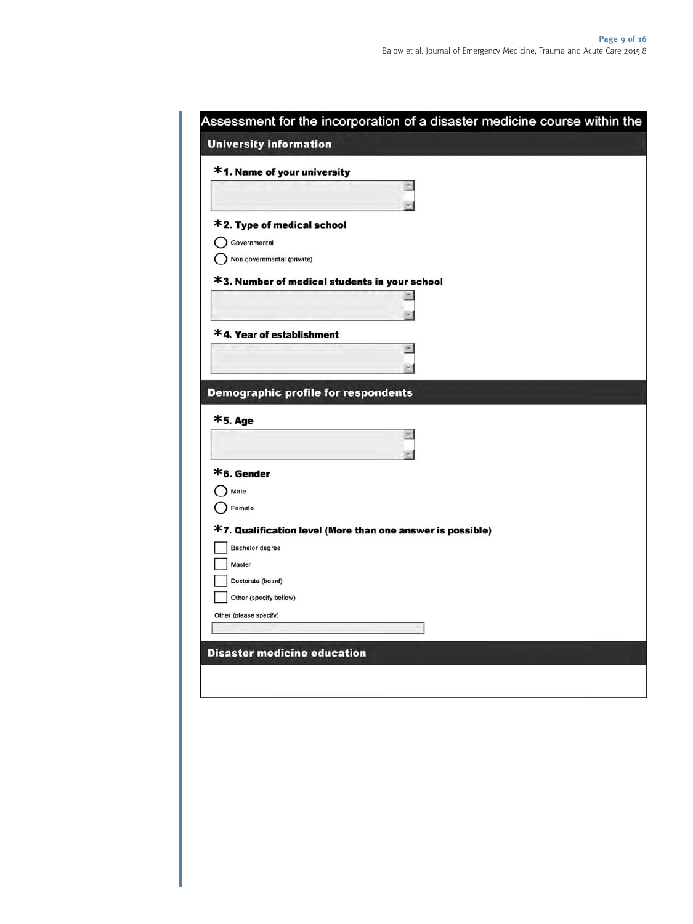| *1. Name of your university                                                   |  |
|-------------------------------------------------------------------------------|--|
|                                                                               |  |
|                                                                               |  |
| *2. Type of medical school                                                    |  |
| Governmental<br>Non governmental (private)                                    |  |
|                                                                               |  |
| *3. Number of medical students in your school                                 |  |
|                                                                               |  |
| *4. Year of establishment                                                     |  |
|                                                                               |  |
|                                                                               |  |
| <b>Demographic profile for respondents</b><br>$*$ 5. Age                      |  |
|                                                                               |  |
| *6. Gender<br>Male                                                            |  |
| Female                                                                        |  |
|                                                                               |  |
| *7. Qualification level (More than one answer is possible)<br>Bachelor degree |  |
| Master                                                                        |  |
| Doctorate (board)                                                             |  |
| Other (specify bellow)                                                        |  |
| Other (please specify)                                                        |  |
|                                                                               |  |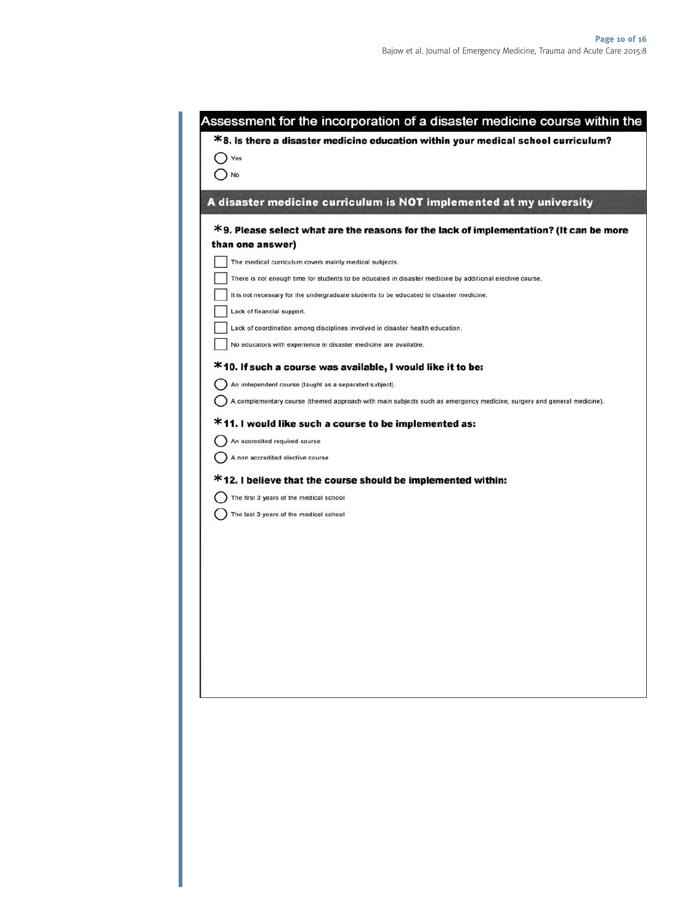| *9. Please select what are the reasons for the lack of implementation? (It can be more |
|----------------------------------------------------------------------------------------|
|                                                                                        |
|                                                                                        |
|                                                                                        |
|                                                                                        |
|                                                                                        |
|                                                                                        |
|                                                                                        |
|                                                                                        |
|                                                                                        |
|                                                                                        |
|                                                                                        |
|                                                                                        |
|                                                                                        |
|                                                                                        |
|                                                                                        |
|                                                                                        |
|                                                                                        |
|                                                                                        |
|                                                                                        |
|                                                                                        |
|                                                                                        |
|                                                                                        |
|                                                                                        |
|                                                                                        |
|                                                                                        |
|                                                                                        |
|                                                                                        |
|                                                                                        |
|                                                                                        |
|                                                                                        |
|                                                                                        |
|                                                                                        |
|                                                                                        |
|                                                                                        |
|                                                                                        |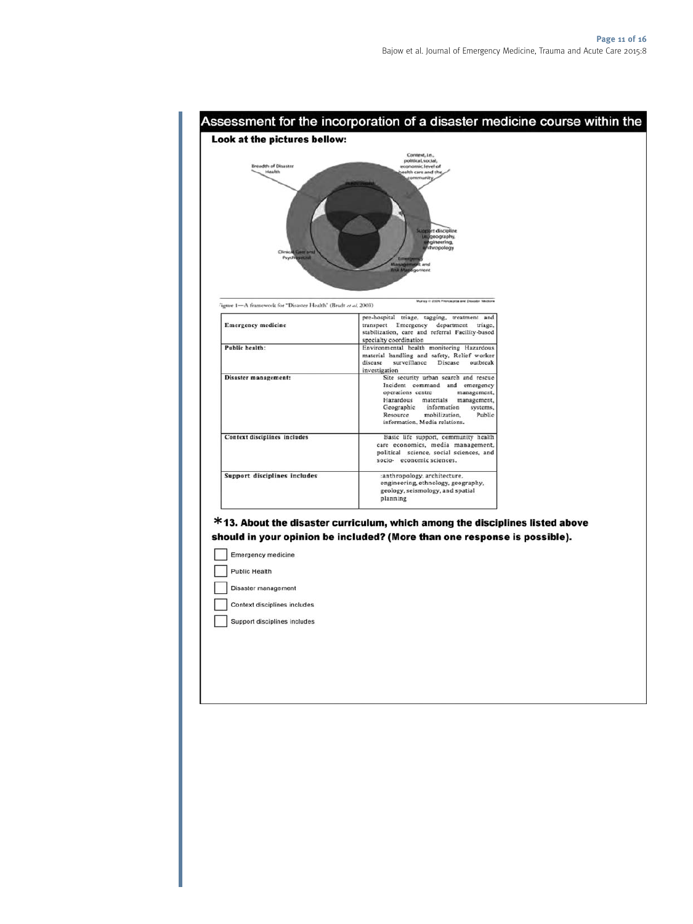

Context disciplines includes

Support disciplines includes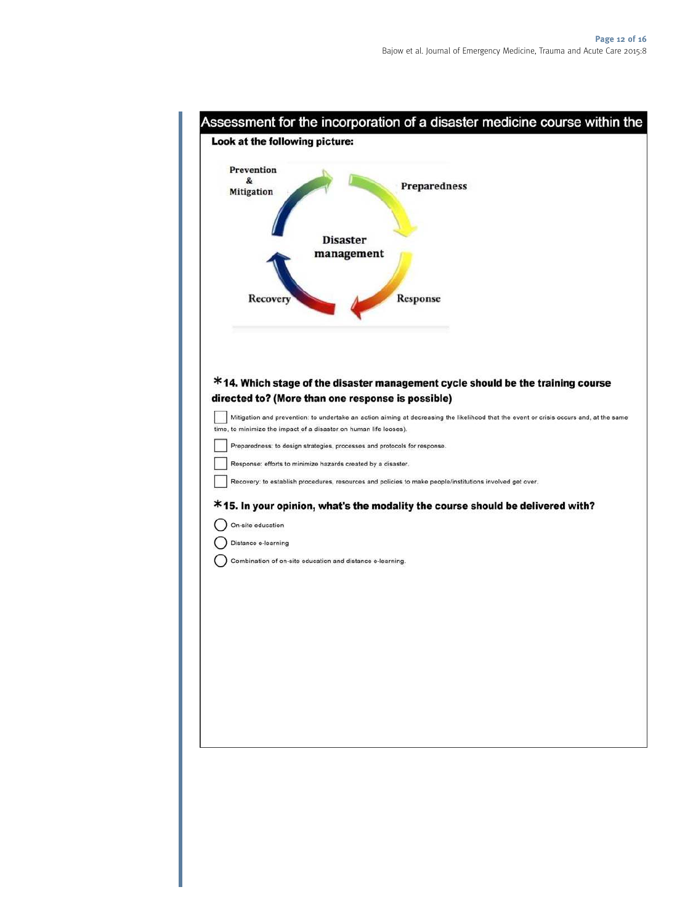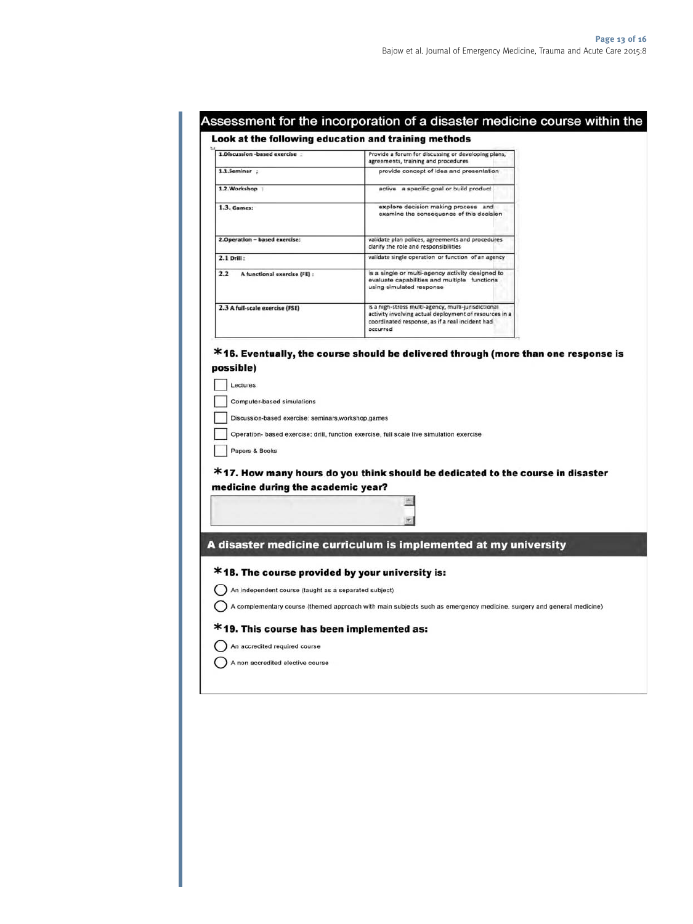# Assessment for the incorporation of a disaster medicine course within the

# Look at the following education and training methods

| 1. Discussion -based exercise       | Provide a forum for discussing or developing plans,<br>agreements, training and procedures                                                                                   |  |
|-------------------------------------|------------------------------------------------------------------------------------------------------------------------------------------------------------------------------|--|
| 1.1.Seminar :                       | provide concept of idea and presentation                                                                                                                                     |  |
| 1.2. Workshop                       | active a specific goal or build product                                                                                                                                      |  |
| 1.3. Games:                         | explore decision making process and<br>examine the consequence of this decision                                                                                              |  |
| 2. Operation - based exercise:      | validate plan polices, agreements and procedures<br>clarify the role and responsibilities                                                                                    |  |
| $2.1$ Drill:                        | validate single operation or function of an agency                                                                                                                           |  |
| 2.2<br>A functional exercise (FE) : | is a single or multi-agency activity designed to<br>evaluate capabilities and multiple functions<br>using simulated response                                                 |  |
| 2.3 A full-scale exercise (FSE)     | is a high-stress multi-agency, multi-jurisdictional<br>activity involving actual deployment of resources in a<br>coordinated response, as if a real incident had<br>occurred |  |

# $*$ 16. Eventually, the course should be delivered through (more than one response is possible)

| Lectures                          |
|-----------------------------------|
| <b>Computer-based simulations</b> |

Discussion-based exercise: seminars, workshop, games

Operation- based exercise: drill, function exercise, full scale live simulation exercise

Papers & Books

# \*17. How many hours do you think should be dedicated to the course in disaster medicine during the academic year?

圖 圈

# A disaster medicine curriculum is implemented at my university

#### \*18. The course provided by your university is:

An independent course (taught as a separated subject)

A complementary course (themed approach with main subjects such as emergency medicine, surgery and general medicine)

# \*19. This course has been implemented as:

An accredited required course

A non accredited elective course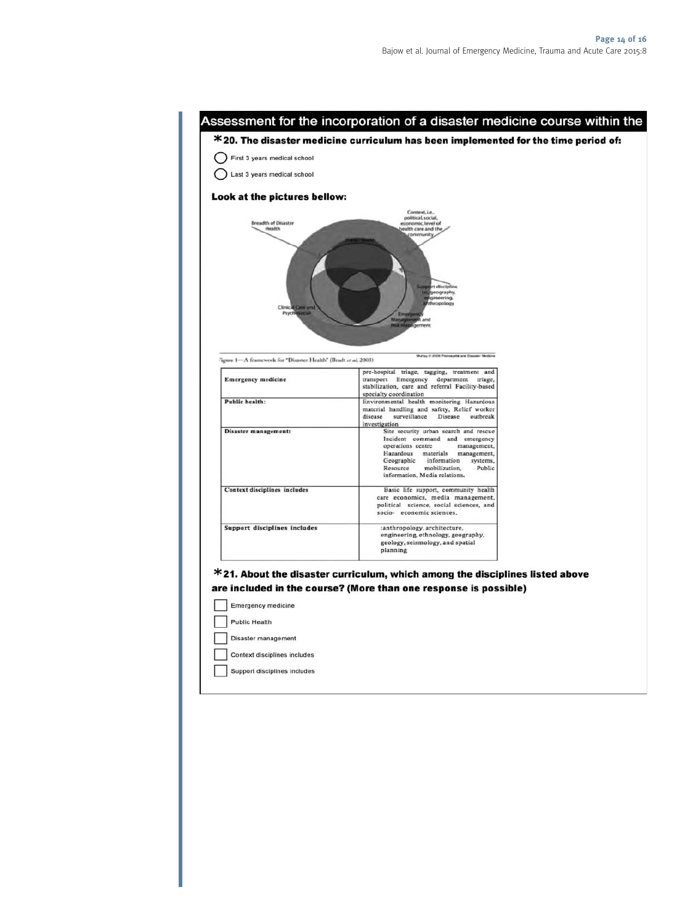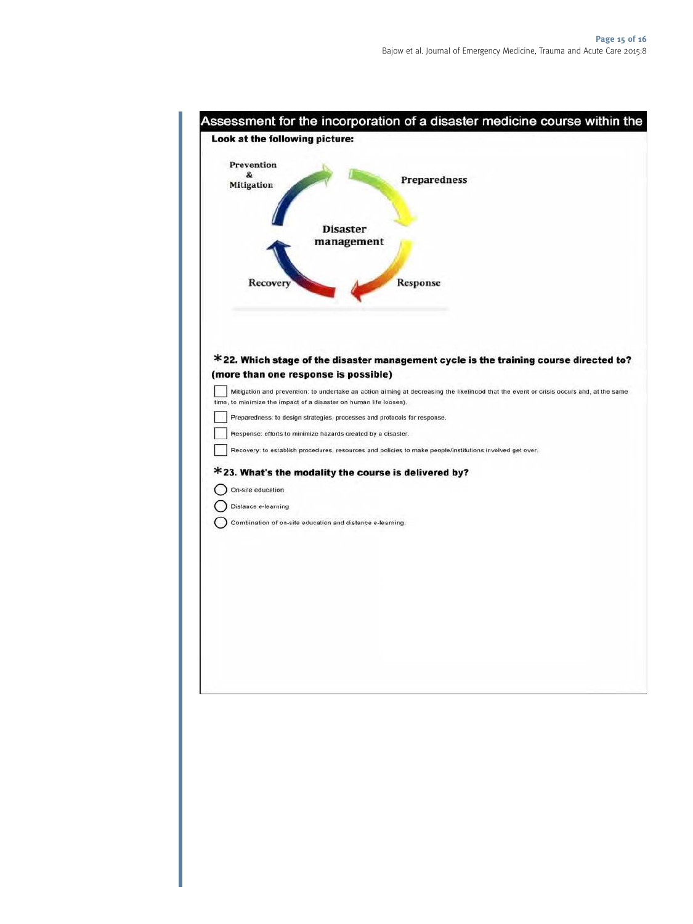